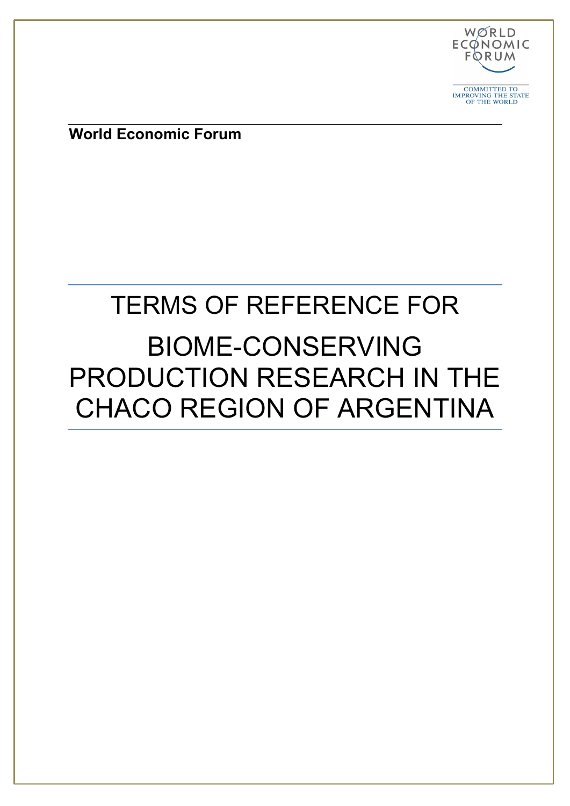

COMMITTED TO IMPROVING THE STATE OF THE WORLD

**World Economic Forum**

## TERMS OF REFERENCE FOR

# BIOME-CONSERVING PRODUCTION RESEARCH IN THE CHACO REGION OF ARGENTINA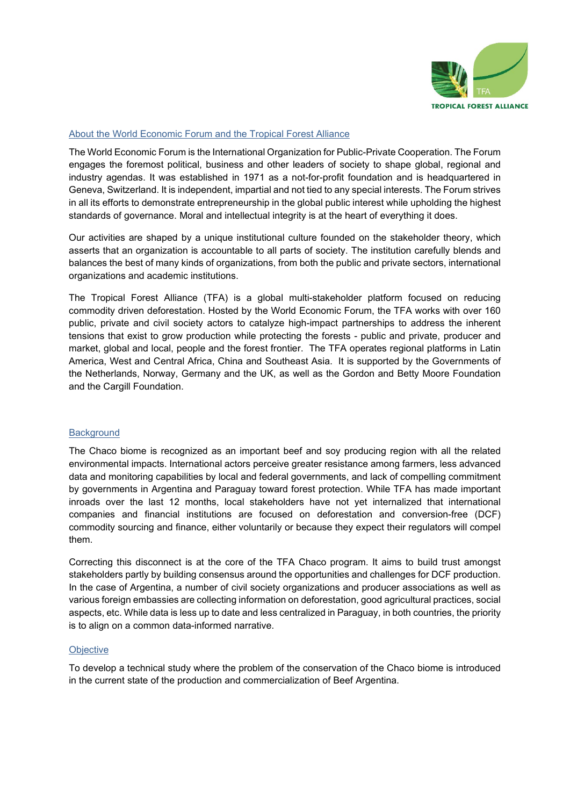

#### About the World Economic Forum and the Tropical Forest Alliance

The World Economic Forum is the International Organization for Public-Private Cooperation. The Forum engages the foremost political, business and other leaders of society to shape global, regional and industry agendas. It was established in 1971 as a not-for-profit foundation and is headquartered in Geneva, Switzerland. It is independent, impartial and not tied to any special interests. The Forum strives in all its efforts to demonstrate entrepreneurship in the global public interest while upholding the highest standards of governance. Moral and intellectual integrity is at the heart of everything it does.

Our activities are shaped by a unique institutional culture founded on the stakeholder theory, which asserts that an organization is accountable to all parts of society. The institution carefully blends and balances the best of many kinds of organizations, from both the public and private sectors, international organizations and academic institutions.

The Tropical Forest Alliance (TFA) is a global multi-stakeholder platform focused on reducing commodity driven deforestation. Hosted by the World Economic Forum, the TFA works with over 160 public, private and civil society actors to catalyze high-impact partnerships to address the inherent tensions that exist to grow production while protecting the forests - public and private, producer and market, global and local, people and the forest frontier. The TFA operates regional platforms in Latin America, West and Central Africa, China and Southeast Asia. It is supported by the Governments of the Netherlands, Norway, Germany and the UK, as well as the Gordon and Betty Moore Foundation and the Cargill Foundation.

#### **Background**

The Chaco biome is recognized as an important beef and soy producing region with all the related environmental impacts. International actors perceive greater resistance among farmers, less advanced data and monitoring capabilities by local and federal governments, and lack of compelling commitment by governments in Argentina and Paraguay toward forest protection. While TFA has made important inroads over the last 12 months, local stakeholders have not yet internalized that international companies and financial institutions are focused on deforestation and conversion-free (DCF) commodity sourcing and finance, either voluntarily or because they expect their regulators will compel them.

Correcting this disconnect is at the core of the TFA Chaco program. It aims to build trust amongst stakeholders partly by building consensus around the opportunities and challenges for DCF production. In the case of Argentina, a number of civil society organizations and producer associations as well as various foreign embassies are collecting information on deforestation, good agricultural practices, social aspects, etc. While data is less up to date and less centralized in Paraguay, in both countries, the priority is to align on a common data-informed narrative.

## **Objective**

To develop a technical study where the problem of the conservation of the Chaco biome is introduced in the current state of the production and commercialization of Beef Argentina.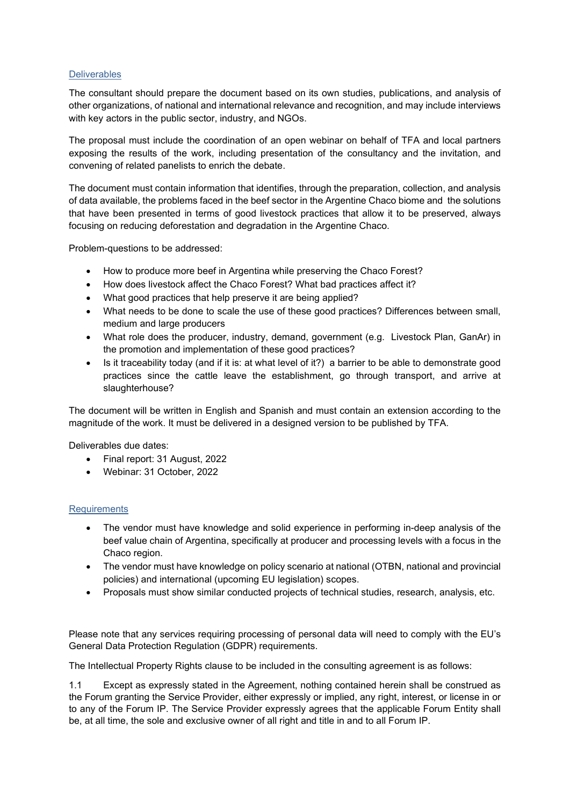## **Deliverables**

The consultant should prepare the document based on its own studies, publications, and analysis of other organizations, of national and international relevance and recognition, and may include interviews with key actors in the public sector, industry, and NGOs.

The proposal must include the coordination of an open webinar on behalf of TFA and local partners exposing the results of the work, including presentation of the consultancy and the invitation, and convening of related panelists to enrich the debate.

The document must contain information that identifies, through the preparation, collection, and analysis of data available, the problems faced in the beef sector in the Argentine Chaco biome and the solutions that have been presented in terms of good livestock practices that allow it to be preserved, always focusing on reducing deforestation and degradation in the Argentine Chaco.

Problem-questions to be addressed:

- How to produce more beef in Argentina while preserving the Chaco Forest?
- How does livestock affect the Chaco Forest? What bad practices affect it?
- What good practices that help preserve it are being applied?
- What needs to be done to scale the use of these good practices? Differences between small, medium and large producers
- What role does the producer, industry, demand, government (e.g. Livestock Plan, GanAr) in the promotion and implementation of these good practices?
- Is it traceability today (and if it is: at what level of it?) a barrier to be able to demonstrate good practices since the cattle leave the establishment, go through transport, and arrive at slaughterhouse?

The document will be written in English and Spanish and must contain an extension according to the magnitude of the work. It must be delivered in a designed version to be published by TFA.

Deliverables due dates:

- Final report: 31 August, 2022
- Webinar: 31 October, 2022

## **Requirements**

- The vendor must have knowledge and solid experience in performing in-deep analysis of the beef value chain of Argentina, specifically at producer and processing levels with a focus in the Chaco region.
- The vendor must have knowledge on policy scenario at national (OTBN, national and provincial policies) and international (upcoming EU legislation) scopes.
- Proposals must show similar conducted projects of technical studies, research, analysis, etc.

Please note that any services requiring processing of personal data will need to comply with the EU's General Data Protection Regulation (GDPR) requirements.

The Intellectual Property Rights clause to be included in the consulting agreement is as follows:

1.1 Except as expressly stated in the Agreement, nothing contained herein shall be construed as the Forum granting the Service Provider, either expressly or implied, any right, interest, or license in or to any of the Forum IP. The Service Provider expressly agrees that the applicable Forum Entity shall be, at all time, the sole and exclusive owner of all right and title in and to all Forum IP.